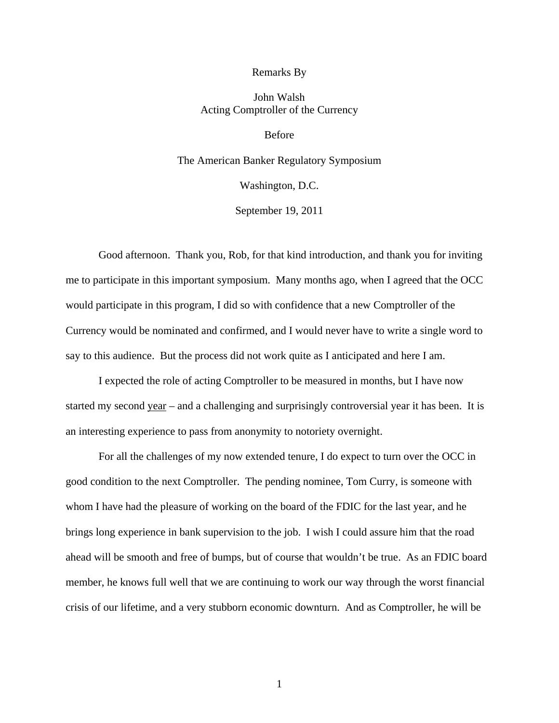## Remarks By

## John Walsh Acting Comptroller of the Currency

Before

## The American Banker Regulatory Symposium

Washington, D.C.

September 19, 2011

Good afternoon. Thank you, Rob, for that kind introduction, and thank you for inviting me to participate in this important symposium. Many months ago, when I agreed that the OCC would participate in this program, I did so with confidence that a new Comptroller of the Currency would be nominated and confirmed, and I would never have to write a single word to say to this audience. But the process did not work quite as I anticipated and here I am.

I expected the role of acting Comptroller to be measured in months, but I have now started my second year – and a challenging and surprisingly controversial year it has been. It is an interesting experience to pass from anonymity to notoriety overnight.

For all the challenges of my now extended tenure, I do expect to turn over the OCC in good condition to the next Comptroller. The pending nominee, Tom Curry, is someone with whom I have had the pleasure of working on the board of the FDIC for the last year, and he brings long experience in bank supervision to the job. I wish I could assure him that the road ahead will be smooth and free of bumps, but of course that wouldn't be true. As an FDIC board member, he knows full well that we are continuing to work our way through the worst financial crisis of our lifetime, and a very stubborn economic downturn. And as Comptroller, he will be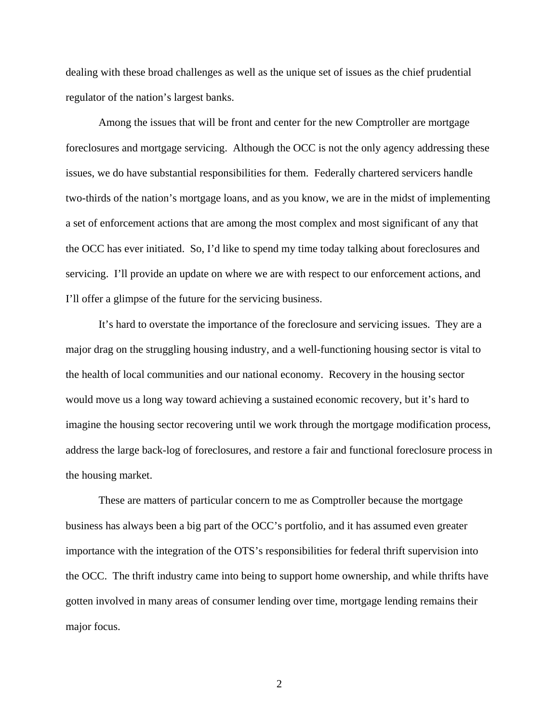dealing with these broad challenges as well as the unique set of issues as the chief prudential regulator of the nation's largest banks.

Among the issues that will be front and center for the new Comptroller are mortgage foreclosures and mortgage servicing. Although the OCC is not the only agency addressing these issues, we do have substantial responsibilities for them. Federally chartered servicers handle two-thirds of the nation's mortgage loans, and as you know, we are in the midst of implementing a set of enforcement actions that are among the most complex and most significant of any that the OCC has ever initiated. So, I'd like to spend my time today talking about foreclosures and servicing. I'll provide an update on where we are with respect to our enforcement actions, and I'll offer a glimpse of the future for the servicing business.

It's hard to overstate the importance of the foreclosure and servicing issues. They are a major drag on the struggling housing industry, and a well-functioning housing sector is vital to the health of local communities and our national economy. Recovery in the housing sector would move us a long way toward achieving a sustained economic recovery, but it's hard to imagine the housing sector recovering until we work through the mortgage modification process, address the large back-log of foreclosures, and restore a fair and functional foreclosure process in the housing market.

These are matters of particular concern to me as Comptroller because the mortgage business has always been a big part of the OCC's portfolio, and it has assumed even greater importance with the integration of the OTS's responsibilities for federal thrift supervision into the OCC. The thrift industry came into being to support home ownership, and while thrifts have gotten involved in many areas of consumer lending over time, mortgage lending remains their major focus.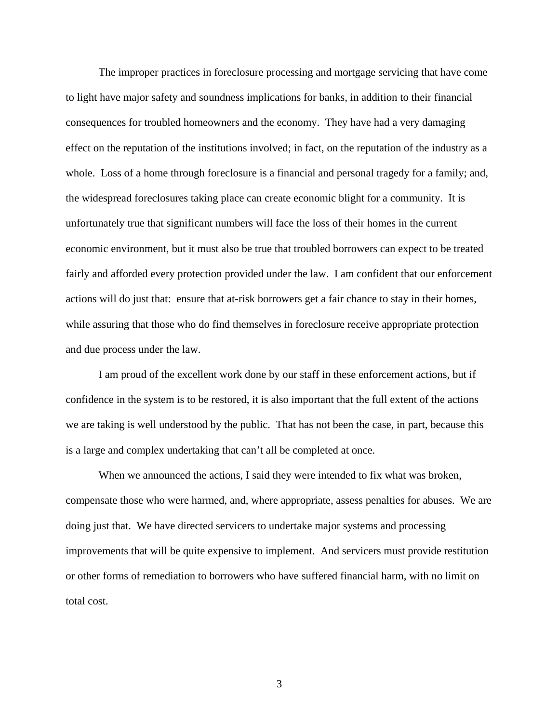The improper practices in foreclosure processing and mortgage servicing that have come to light have major safety and soundness implications for banks, in addition to their financial consequences for troubled homeowners and the economy. They have had a very damaging effect on the reputation of the institutions involved; in fact, on the reputation of the industry as a whole. Loss of a home through foreclosure is a financial and personal tragedy for a family; and, the widespread foreclosures taking place can create economic blight for a community. It is unfortunately true that significant numbers will face the loss of their homes in the current economic environment, but it must also be true that troubled borrowers can expect to be treated fairly and afforded every protection provided under the law. I am confident that our enforcement actions will do just that: ensure that at-risk borrowers get a fair chance to stay in their homes, while assuring that those who do find themselves in foreclosure receive appropriate protection and due process under the law.

I am proud of the excellent work done by our staff in these enforcement actions, but if confidence in the system is to be restored, it is also important that the full extent of the actions we are taking is well understood by the public. That has not been the case, in part, because this is a large and complex undertaking that can't all be completed at once.

When we announced the actions, I said they were intended to fix what was broken, compensate those who were harmed, and, where appropriate, assess penalties for abuses. We are doing just that. We have directed servicers to undertake major systems and processing improvements that will be quite expensive to implement. And servicers must provide restitution or other forms of remediation to borrowers who have suffered financial harm, with no limit on total cost.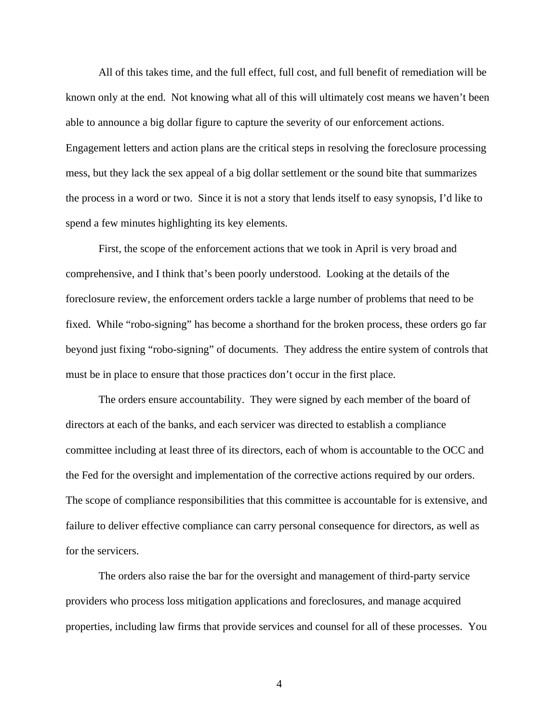All of this takes time, and the full effect, full cost, and full benefit of remediation will be known only at the end. Not knowing what all of this will ultimately cost means we haven't been able to announce a big dollar figure to capture the severity of our enforcement actions. Engagement letters and action plans are the critical steps in resolving the foreclosure processing mess, but they lack the sex appeal of a big dollar settlement or the sound bite that summarizes the process in a word or two. Since it is not a story that lends itself to easy synopsis, I'd like to spend a few minutes highlighting its key elements.

First, the scope of the enforcement actions that we took in April is very broad and comprehensive, and I think that's been poorly understood. Looking at the details of the foreclosure review, the enforcement orders tackle a large number of problems that need to be fixed. While "robo-signing" has become a shorthand for the broken process, these orders go far beyond just fixing "robo-signing" of documents. They address the entire system of controls that must be in place to ensure that those practices don't occur in the first place.

The orders ensure accountability. They were signed by each member of the board of directors at each of the banks, and each servicer was directed to establish a compliance committee including at least three of its directors, each of whom is accountable to the OCC and the Fed for the oversight and implementation of the corrective actions required by our orders. The scope of compliance responsibilities that this committee is accountable for is extensive, and failure to deliver effective compliance can carry personal consequence for directors, as well as for the servicers.

The orders also raise the bar for the oversight and management of third-party service providers who process loss mitigation applications and foreclosures, and manage acquired properties, including law firms that provide services and counsel for all of these processes. You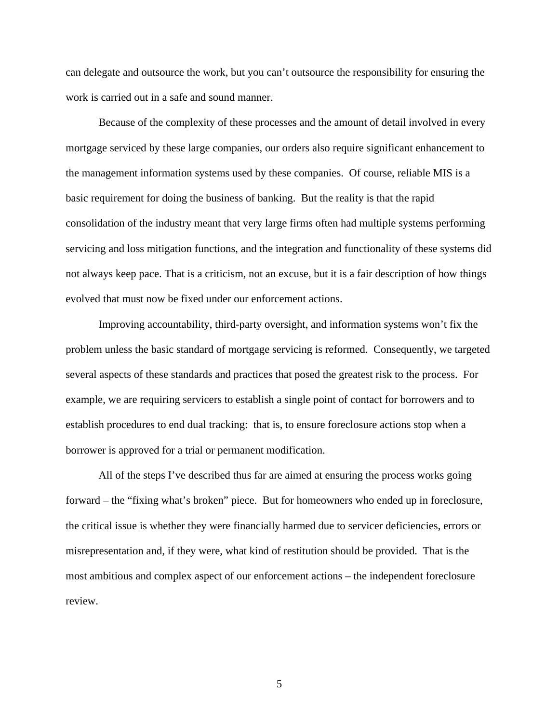can delegate and outsource the work, but you can't outsource the responsibility for ensuring the work is carried out in a safe and sound manner.

Because of the complexity of these processes and the amount of detail involved in every mortgage serviced by these large companies, our orders also require significant enhancement to the management information systems used by these companies. Of course, reliable MIS is a basic requirement for doing the business of banking. But the reality is that the rapid consolidation of the industry meant that very large firms often had multiple systems performing servicing and loss mitigation functions, and the integration and functionality of these systems did not always keep pace. That is a criticism, not an excuse, but it is a fair description of how things evolved that must now be fixed under our enforcement actions.

Improving accountability, third-party oversight, and information systems won't fix the problem unless the basic standard of mortgage servicing is reformed. Consequently, we targeted several aspects of these standards and practices that posed the greatest risk to the process. For example, we are requiring servicers to establish a single point of contact for borrowers and to establish procedures to end dual tracking: that is, to ensure foreclosure actions stop when a borrower is approved for a trial or permanent modification.

All of the steps I've described thus far are aimed at ensuring the process works going forward – the "fixing what's broken" piece. But for homeowners who ended up in foreclosure, the critical issue is whether they were financially harmed due to servicer deficiencies, errors or misrepresentation and, if they were, what kind of restitution should be provided. That is the most ambitious and complex aspect of our enforcement actions – the independent foreclosure review.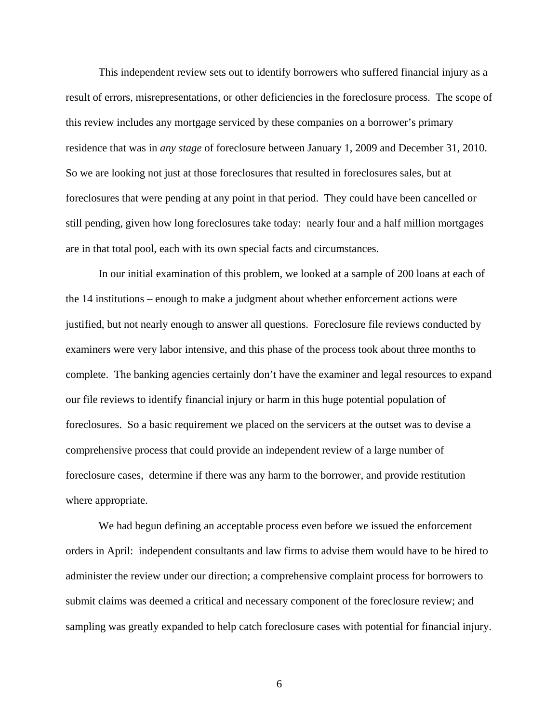This independent review sets out to identify borrowers who suffered financial injury as a result of errors, misrepresentations, or other deficiencies in the foreclosure process. The scope of this review includes any mortgage serviced by these companies on a borrower's primary residence that was in *any stage* of foreclosure between January 1, 2009 and December 31, 2010. So we are looking not just at those foreclosures that resulted in foreclosures sales, but at foreclosures that were pending at any point in that period. They could have been cancelled or still pending, given how long foreclosures take today: nearly four and a half million mortgages are in that total pool, each with its own special facts and circumstances.

In our initial examination of this problem, we looked at a sample of 200 loans at each of the 14 institutions – enough to make a judgment about whether enforcement actions were justified, but not nearly enough to answer all questions. Foreclosure file reviews conducted by examiners were very labor intensive, and this phase of the process took about three months to complete. The banking agencies certainly don't have the examiner and legal resources to expand our file reviews to identify financial injury or harm in this huge potential population of foreclosures. So a basic requirement we placed on the servicers at the outset was to devise a comprehensive process that could provide an independent review of a large number of foreclosure cases, determine if there was any harm to the borrower, and provide restitution where appropriate.

We had begun defining an acceptable process even before we issued the enforcement orders in April: independent consultants and law firms to advise them would have to be hired to administer the review under our direction; a comprehensive complaint process for borrowers to submit claims was deemed a critical and necessary component of the foreclosure review; and sampling was greatly expanded to help catch foreclosure cases with potential for financial injury.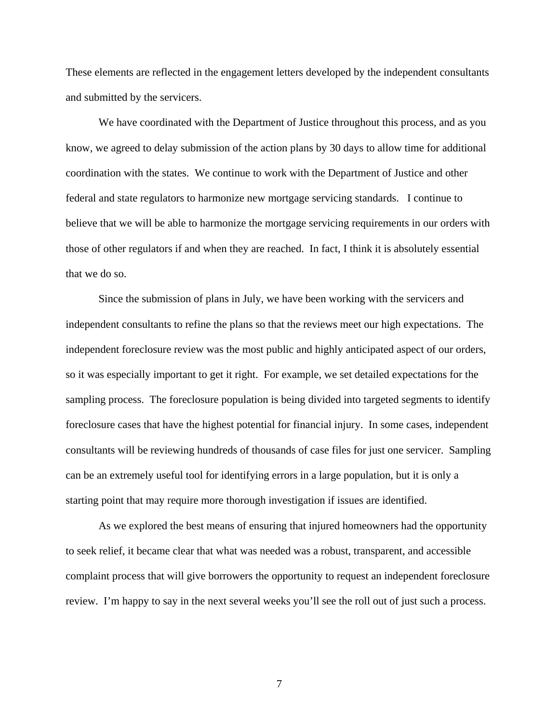These elements are reflected in the engagement letters developed by the independent consultants and submitted by the servicers.

We have coordinated with the Department of Justice throughout this process, and as you know, we agreed to delay submission of the action plans by 30 days to allow time for additional coordination with the states. We continue to work with the Department of Justice and other federal and state regulators to harmonize new mortgage servicing standards. I continue to believe that we will be able to harmonize the mortgage servicing requirements in our orders with those of other regulators if and when they are reached. In fact, I think it is absolutely essential that we do so.

Since the submission of plans in July, we have been working with the servicers and independent consultants to refine the plans so that the reviews meet our high expectations. The independent foreclosure review was the most public and highly anticipated aspect of our orders, so it was especially important to get it right. For example, we set detailed expectations for the sampling process. The foreclosure population is being divided into targeted segments to identify foreclosure cases that have the highest potential for financial injury. In some cases, independent consultants will be reviewing hundreds of thousands of case files for just one servicer. Sampling can be an extremely useful tool for identifying errors in a large population, but it is only a starting point that may require more thorough investigation if issues are identified.

As we explored the best means of ensuring that injured homeowners had the opportunity to seek relief, it became clear that what was needed was a robust, transparent, and accessible complaint process that will give borrowers the opportunity to request an independent foreclosure review. I'm happy to say in the next several weeks you'll see the roll out of just such a process.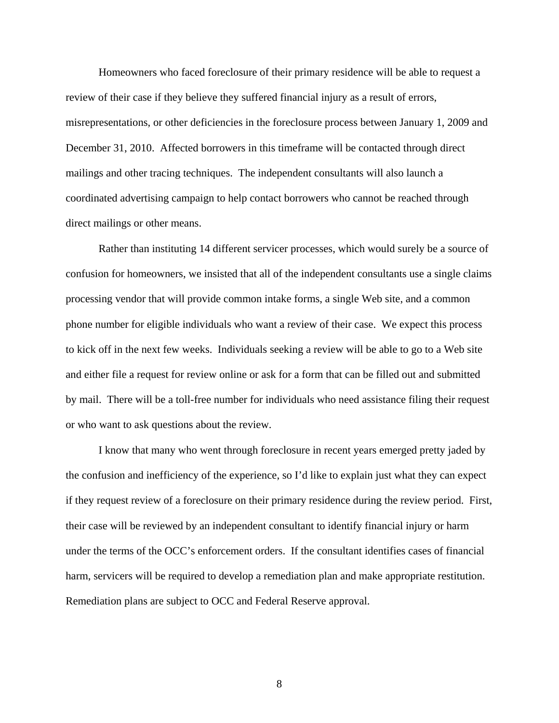Homeowners who faced foreclosure of their primary residence will be able to request a review of their case if they believe they suffered financial injury as a result of errors, misrepresentations, or other deficiencies in the foreclosure process between January 1, 2009 and December 31, 2010. Affected borrowers in this timeframe will be contacted through direct mailings and other tracing techniques. The independent consultants will also launch a coordinated advertising campaign to help contact borrowers who cannot be reached through direct mailings or other means.

Rather than instituting 14 different servicer processes, which would surely be a source of confusion for homeowners, we insisted that all of the independent consultants use a single claims processing vendor that will provide common intake forms, a single Web site, and a common phone number for eligible individuals who want a review of their case. We expect this process to kick off in the next few weeks. Individuals seeking a review will be able to go to a Web site and either file a request for review online or ask for a form that can be filled out and submitted by mail. There will be a toll-free number for individuals who need assistance filing their request or who want to ask questions about the review.

I know that many who went through foreclosure in recent years emerged pretty jaded by the confusion and inefficiency of the experience, so I'd like to explain just what they can expect if they request review of a foreclosure on their primary residence during the review period. First, their case will be reviewed by an independent consultant to identify financial injury or harm under the terms of the OCC's enforcement orders. If the consultant identifies cases of financial harm, servicers will be required to develop a remediation plan and make appropriate restitution. Remediation plans are subject to OCC and Federal Reserve approval.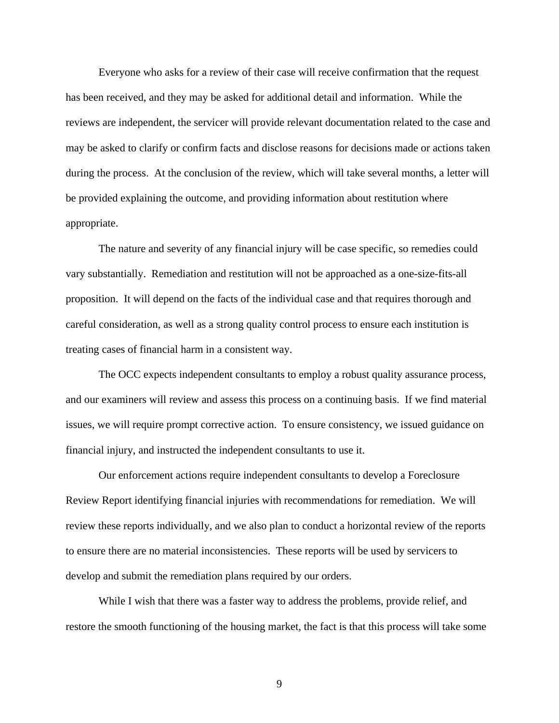Everyone who asks for a review of their case will receive confirmation that the request has been received, and they may be asked for additional detail and information. While the reviews are independent, the servicer will provide relevant documentation related to the case and may be asked to clarify or confirm facts and disclose reasons for decisions made or actions taken during the process. At the conclusion of the review, which will take several months, a letter will be provided explaining the outcome, and providing information about restitution where appropriate.

The nature and severity of any financial injury will be case specific, so remedies could vary substantially. Remediation and restitution will not be approached as a one-size-fits-all proposition. It will depend on the facts of the individual case and that requires thorough and careful consideration, as well as a strong quality control process to ensure each institution is treating cases of financial harm in a consistent way.

The OCC expects independent consultants to employ a robust quality assurance process, and our examiners will review and assess this process on a continuing basis. If we find material issues, we will require prompt corrective action. To ensure consistency, we issued guidance on financial injury, and instructed the independent consultants to use it.

Our enforcement actions require independent consultants to develop a Foreclosure Review Report identifying financial injuries with recommendations for remediation. We will review these reports individually, and we also plan to conduct a horizontal review of the reports to ensure there are no material inconsistencies. These reports will be used by servicers to develop and submit the remediation plans required by our orders.

While I wish that there was a faster way to address the problems, provide relief, and restore the smooth functioning of the housing market, the fact is that this process will take some